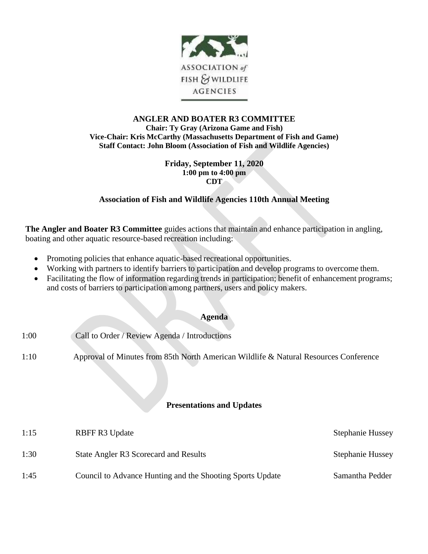

## **ANGLER AND BOATER R3 COMMITTEE Chair: Ty Gray (Arizona Game and Fish) Vice-Chair: Kris McCarthy (Massachusetts Department of Fish and Game) Staff Contact: John Bloom (Association of Fish and Wildlife Agencies)**

#### **Friday, September 11, 2020 1:00 pm to 4:00 pm CDT**

# **Association of Fish and Wildlife Agencies 110th Annual Meeting**

**The Angler and Boater R3 Committee** guides actions that maintain and enhance participation in angling, boating and other aquatic resource-based recreation including:

- Promoting policies that enhance aquatic-based recreational opportunities.
- Working with partners to identify barriers to participation and develop programs to overcome them.
- Facilitating the flow of information regarding trends in participation; benefit of enhancement programs; and costs of barriers to participation among partners, users and policy makers.

### **Agenda**

- 1:00 Call to Order / Review Agenda / Introductions
- 1:10 Approval of Minutes from 85th North American Wildlife & Natural Resources Conference

## **Presentations and Updates**

| 1:15 | <b>RBFF R3 Update</b>                                     | <b>Stephanie Hussey</b> |
|------|-----------------------------------------------------------|-------------------------|
| 1:30 | State Angler R3 Scorecard and Results                     | <b>Stephanie Hussey</b> |
| 1:45 | Council to Advance Hunting and the Shooting Sports Update | Samantha Pedder         |